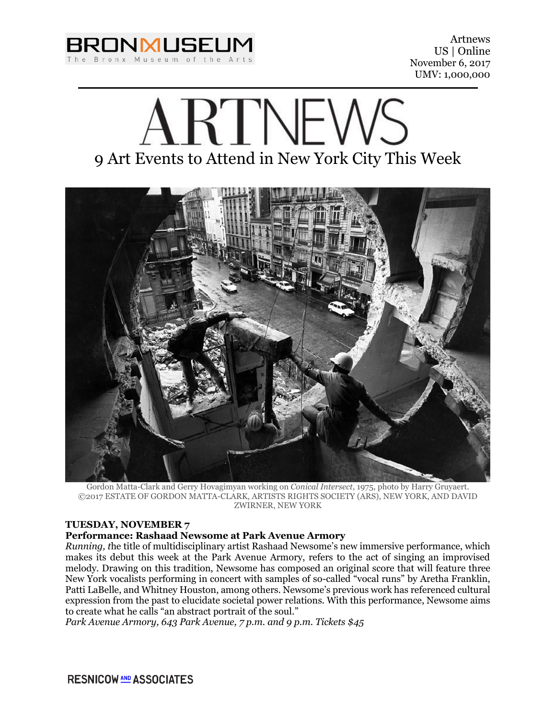

# **RTINEWS** 9 Art Events to Attend in New York City This Week



Gordon Matta-Clark and Gerry Hovagimyan working on *Conical Intersect*, 1975, photo by Harry Gruyaert. ©2017 ESTATE OF GORDON MATTA-CLARK, ARTISTS RIGHTS SOCIETY (ARS), NEW YORK, AND DAVID ZWIRNER, NEW YORK

# **TUESDAY, NOVEMBER 7**

# **Performance: Rashaad Newsome at Park Avenue Armory**

*Running, t*he title of multidisciplinary artist Rashaad Newsome's new immersive performance, which makes its debut this week at the Park Avenue Armory, refers to the act of singing an improvised melody. Drawing on this tradition, Newsome has composed an original score that will feature three New York vocalists performing in concert with samples of so-called "vocal runs" by Aretha Franklin, Patti LaBelle, and Whitney Houston, among others. Newsome's previous work has referenced cultural expression from the past to elucidate societal power relations. With this performance, Newsome aims to create what he calls "an abstract portrait of the soul."

*Park Avenue Armory, 643 Park Avenue, 7 p.m. and 9 p.m. Tickets \$45*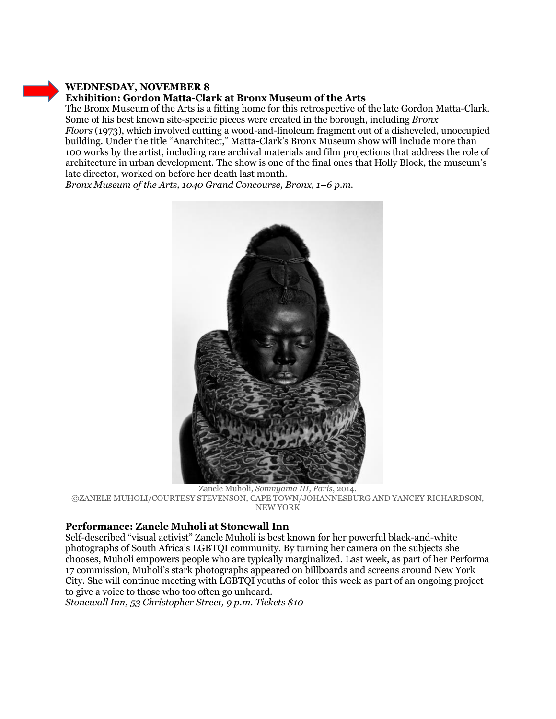### **WEDNESDAY, NOVEMBER 8 Exhibition: Gordon Matta-Clark at Bronx Museum of the Arts**

The Bronx Museum of the Arts is a fitting home for this retrospective of the late Gordon Matta-Clark. Some of his best known site-specific pieces were created in the borough, including *Bronx Floors* (1973), which involved cutting a wood-and-linoleum fragment out of a disheveled, unoccupied building. Under the title "Anarchitect," Matta-Clark's Bronx Museum show will include more than 100 works by the artist, including rare archival materials and film projections that address the role of architecture in urban development. The show is one of the final ones that Holly Block, the museum's late director, worked on before her death last month.

*Bronx Museum of the Arts, 1040 Grand Concourse, Bronx, 1–6 p.m.*



Zanele Muholi, *Somnyama III, Paris*, 2014. ©ZANELE MUHOLI/COURTESY STEVENSON, CAPE TOWN/JOHANNESBURG AND YANCEY RICHARDSON, NEW YORK

# **Performance: Zanele Muholi at Stonewall Inn**

Self-described "visual activist" Zanele Muholi is best known for her powerful black-and-white photographs of South Africa's LGBTQI community. By turning her camera on the subjects she chooses, Muholi empowers people who are typically marginalized. Last week, as part of her Performa 17 commission, Muholi's stark photographs appeared on billboards and screens around New York City. She will continue meeting with LGBTQI youths of color this week as part of an ongoing project to give a voice to those who too often go unheard.

*Stonewall Inn, 53 Christopher Street, 9 p.m. Tickets \$10*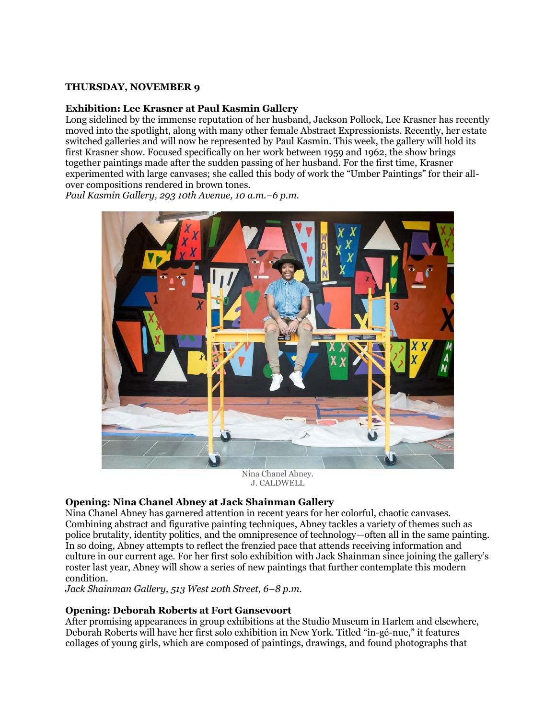#### **THURSDAY, NOVEMBER 9**

#### **Exhibition: Lee Krasner at Paul Kasmin Gallery**

Long sidelined by the immense reputation of her husband, Jackson Pollock, Lee Krasner has recently moved into the spotlight, along with many other female Abstract Expressionists. Recently, her estate switched galleries and will now be represented by Paul Kasmin. This week, the gallery will hold its first Krasner show. Focused specifically on her work between 1959 and 1962, the show brings together paintings made after the sudden passing of her husband. For the first time, Krasner experimented with large canvases; she called this body of work the "Umber Paintings" for their allover compositions rendered in brown tones.

*Paul Kasmin Gallery, 293 10th Avenue, 10 a.m.–6 p.m.*



Nina Chanel Abney. J. CALDWELL

#### **Opening: Nina Chanel Abney at Jack Shainman Gallery**

Nina Chanel Abney has garnered attention in recent years for her colorful, chaotic canvases. Combining abstract and figurative painting techniques, Abney tackles a variety of themes such as police brutality, identity politics, and the omnipresence of technology—often all in the same painting. In so doing, Abney attempts to reflect the frenzied pace that attends receiving information and culture in our current age. For her first solo exhibition with Jack Shainman since joining the gallery's roster last year, Abney will show a series of new paintings that further contemplate this modern condition.

*Jack Shainman Gallery, 513 West 20th Street, 6–8 p.m.*

#### **Opening: Deborah Roberts at Fort Gansevoort**

After promising appearances in group exhibitions at the Studio Museum in Harlem and elsewhere, Deborah Roberts will have her first solo exhibition in New York. Titled "in-gé-nue," it features collages of young girls, which are composed of paintings, drawings, and found photographs that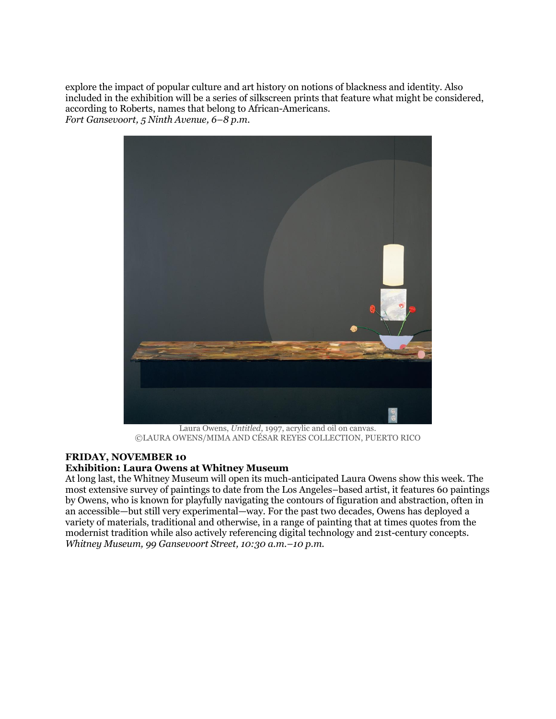explore the impact of popular culture and art history on notions of blackness and identity. Also included in the exhibition will be a series of silkscreen prints that feature what might be considered, according to Roberts, names that belong to African-Americans. *Fort Gansevoort, 5 Ninth Avenue, 6–8 p.m.*



Laura Owens, *Untitled*, 1997, acrylic and oil on canvas. ©LAURA OWENS/MIMA AND CÉSAR REYES COLLECTION, PUERTO RICO

# **FRIDAY, NOVEMBER 10**

#### **Exhibition: Laura Owens at Whitney Museum**

At long last, the Whitney Museum will open its much-anticipated Laura Owens show this week. The most extensive survey of paintings to date from the Los Angeles–based artist, it features 60 paintings by Owens, who is known for playfully navigating the contours of figuration and abstraction, often in an accessible—but still very experimental—way. For the past two decades, Owens has deployed a variety of materials, traditional and otherwise, in a range of painting that at times quotes from the modernist tradition while also actively referencing digital technology and 21st-century concepts. *Whitney Museum, 99 Gansevoort Street, 10:30 a.m.–10 p.m.*